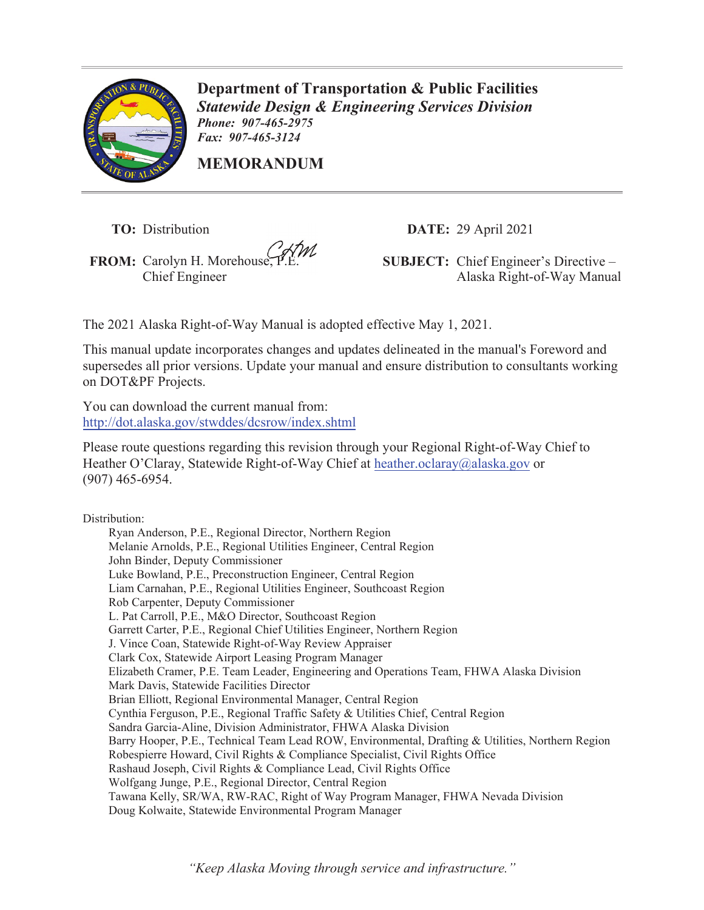

**Department of Transportation & Public Facilities**  *Statewide Design & Engineering Services Division Phone: 907-465-2975 Fax: 907-465-3124* 

**MEMORANDUM**

**TO:** Distribution

**FROM:** Carolyn H. Morehouse, P.E.

**DATE:** 29 April 2021

**SUBJECT:** Chief Engineer's Directive – Chief Engineer Alaska Right-of-Way Manual

The 2021 Alaska Right-of-Way Manual is adopted effective May 1, 2021.

This manual update incorporates changes and updates delineated in the manual's Foreword and supersedes all prior versions. Update your manual and ensure distribution to consultants working on DOT&PF Projects.

You can download the current manual from: http://dot.alaska.gov/stwddes/dcsrow/index.shtml

Please route questions regarding this revision through your Regional Right-of-Way Chief to Heather O'Claray, Statewide Right-of-Way Chief at heather.oclaray@alaska.gov or (907) 465-6954.

Distribution:

Ryan Anderson, P.E., Regional Director, Northern Region Melanie Arnolds, P.E., Regional Utilities Engineer, Central Region John Binder, Deputy Commissioner Luke Bowland, P.E., Preconstruction Engineer, Central Region Liam Carnahan, P.E., Regional Utilities Engineer, Southcoast Region Rob Carpenter, Deputy Commissioner L. Pat Carroll, P.E., M&O Director, Southcoast Region Garrett Carter, P.E., Regional Chief Utilities Engineer, Northern Region J. Vince Coan, Statewide Right-of-Way Review Appraiser Clark Cox, Statewide Airport Leasing Program Manager Elizabeth Cramer, P.E. Team Leader, Engineering and Operations Team, FHWA Alaska Division Mark Davis, Statewide Facilities Director Brian Elliott, Regional Environmental Manager, Central Region Cynthia Ferguson, P.E., Regional Traffic Safety & Utilities Chief, Central Region Sandra Garcia-Aline, Division Administrator, FHWA Alaska Division Barry Hooper, P.E., Technical Team Lead ROW, Environmental, Drafting & Utilities, Northern Region Robespierre Howard, Civil Rights & Compliance Specialist, Civil Rights Office Rashaud Joseph, Civil Rights & Compliance Lead, Civil Rights Office Wolfgang Junge, P.E., Regional Director, Central Region Tawana Kelly, SR/WA, RW-RAC, Right of Way Program Manager, FHWA Nevada Division Doug Kolwaite, Statewide Environmental Program Manager